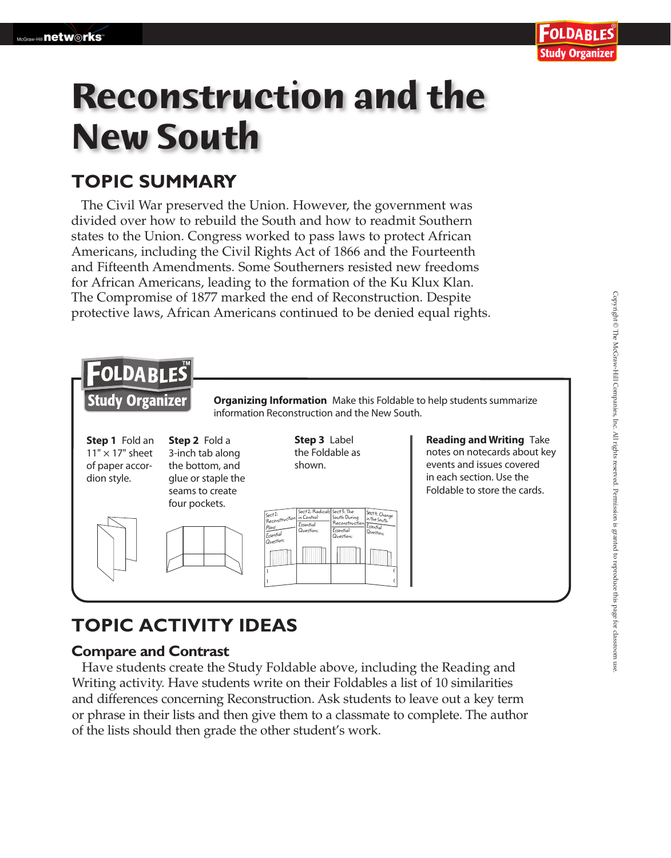# **Reconstruction and the New South**

### **TOPIC SUMMARY**

The Civil War preserved the Union. However, the government was divided over how to rebuild the South and how to readmit Southern states to the Union. Congress worked to pass laws to protect African Americans, including the Civil Rights Act of 1866 and the Fourteenth and Fifteenth Amendments. Some Southerners resisted new freedoms for African Americans, leading to the formation of the Ku Klux Klan. The Compromise of 1877 marked the end of Reconstruction. Despite protective laws, African Americans continued to be denied equal rights.



## **TOPIC ACTIVITY IDEAS**

#### **Compare and Contrast**

 Have students create the Study Foldable above, including the Reading and Writing activity. Have students write on their Foldables a list of 10 similarities and differences concerning Reconstruction. Ask students to leave out a key term or phrase in their lists and then give them to a classmate to complete. The author of the lists should then grade the other student's work.